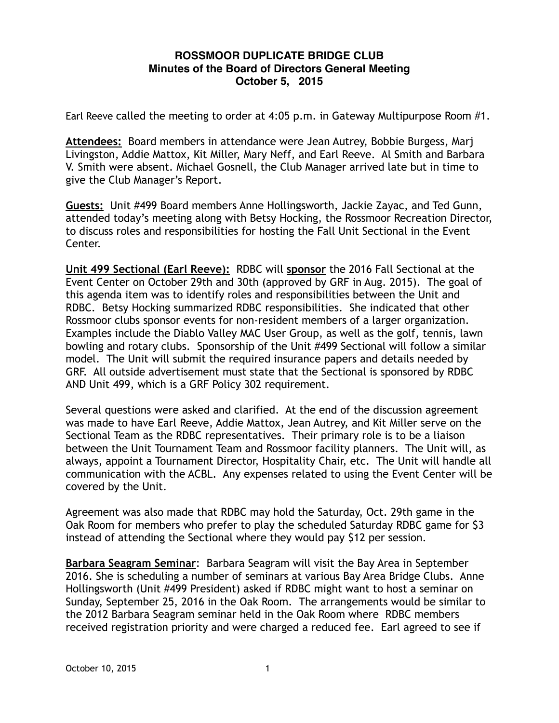## **ROSSMOOR DUPLICATE BRIDGE CLUB Minutes of the Board of Directors General Meeting October 5, 2015**

Earl Reeve called the meeting to order at 4:05 p.m. in Gateway Multipurpose Room #1.

**Attendees:** Board members in attendance were Jean Autrey, Bobbie Burgess, Marj Livingston, Addie Mattox, Kit Miller, Mary Neff, and Earl Reeve. Al Smith and Barbara V. Smith were absent. Michael Gosnell, the Club Manager arrived late but in time to give the Club Manager's Report.

**Guests:** Unit #499 Board members Anne Hollingsworth, Jackie Zayac, and Ted Gunn, attended today's meeting along with Betsy Hocking, the Rossmoor Recreation Director, to discuss roles and responsibilities for hosting the Fall Unit Sectional in the Event Center.

**Unit 499 Sectional (Earl Reeve):** RDBC will **sponsor** the 2016 Fall Sectional at the Event Center on October 29th and 30th (approved by GRF in Aug. 2015). The goal of this agenda item was to identify roles and responsibilities between the Unit and RDBC. Betsy Hocking summarized RDBC responsibilities. She indicated that other Rossmoor clubs sponsor events for non-resident members of a larger organization. Examples include the Diablo Valley MAC User Group, as well as the golf, tennis, lawn bowling and rotary clubs. Sponsorship of the Unit #499 Sectional will follow a similar model. The Unit will submit the required insurance papers and details needed by GRF. All outside advertisement must state that the Sectional is sponsored by RDBC AND Unit 499, which is a GRF Policy 302 requirement.

Several questions were asked and clarified. At the end of the discussion agreement was made to have Earl Reeve, Addie Mattox, Jean Autrey, and Kit Miller serve on the Sectional Team as the RDBC representatives. Their primary role is to be a liaison between the Unit Tournament Team and Rossmoor facility planners. The Unit will, as always, appoint a Tournament Director, Hospitality Chair, etc. The Unit will handle all communication with the ACBL. Any expenses related to using the Event Center will be covered by the Unit.

Agreement was also made that RDBC may hold the Saturday, Oct. 29th game in the Oak Room for members who prefer to play the scheduled Saturday RDBC game for \$3 instead of attending the Sectional where they would pay \$12 per session.

**Barbara Seagram Seminar**: Barbara Seagram will visit the Bay Area in September 2016. She is scheduling a number of seminars at various Bay Area Bridge Clubs. Anne Hollingsworth (Unit #499 President) asked if RDBC might want to host a seminar on Sunday, September 25, 2016 in the Oak Room. The arrangements would be similar to the 2012 Barbara Seagram seminar held in the Oak Room where RDBC members received registration priority and were charged a reduced fee. Earl agreed to see if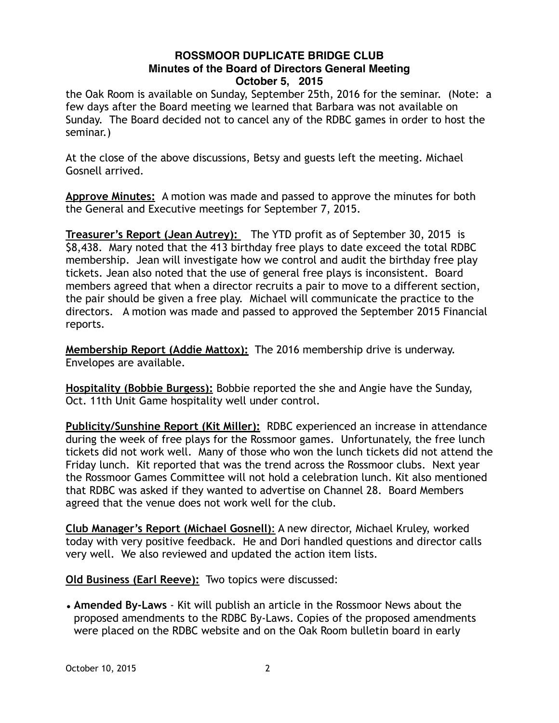## **ROSSMOOR DUPLICATE BRIDGE CLUB Minutes of the Board of Directors General Meeting October 5, 2015**

the Oak Room is available on Sunday, September 25th, 2016 for the seminar. (Note: a few days after the Board meeting we learned that Barbara was not available on Sunday. The Board decided not to cancel any of the RDBC games in order to host the seminar.)

At the close of the above discussions, Betsy and guests left the meeting. Michael Gosnell arrived.

**Approve Minutes:** A motion was made and passed to approve the minutes for both the General and Executive meetings for September 7, 2015.

**Treasurer's Report (Jean Autrey):** The YTD profit as of September 30, 2015 is \$8,438. Mary noted that the 413 birthday free plays to date exceed the total RDBC membership. Jean will investigate how we control and audit the birthday free play tickets. Jean also noted that the use of general free plays is inconsistent. Board members agreed that when a director recruits a pair to move to a different section, the pair should be given a free play. Michael will communicate the practice to the directors. A motion was made and passed to approved the September 2015 Financial reports.

**Membership Report (Addie Mattox):** The 2016 membership drive is underway. Envelopes are available.

**Hospitality (Bobbie Burgess):** Bobbie reported the she and Angie have the Sunday, Oct. 11th Unit Game hospitality well under control.

**Publicity/Sunshine Report (Kit Miller):** RDBC experienced an increase in attendance during the week of free plays for the Rossmoor games. Unfortunately, the free lunch tickets did not work well. Many of those who won the lunch tickets did not attend the Friday lunch. Kit reported that was the trend across the Rossmoor clubs. Next year the Rossmoor Games Committee will not hold a celebration lunch. Kit also mentioned that RDBC was asked if they wanted to advertise on Channel 28. Board Members agreed that the venue does not work well for the club.

**Club Manager's Report (Michael Gosnell)**: A new director, Michael Kruley, worked today with very positive feedback. He and Dori handled questions and director calls very well. We also reviewed and updated the action item lists.

**Old Business (Earl Reeve):** Two topics were discussed:

• **Amended By-Laws** - Kit will publish an article in the Rossmoor News about the proposed amendments to the RDBC By-Laws. Copies of the proposed amendments were placed on the RDBC website and on the Oak Room bulletin board in early